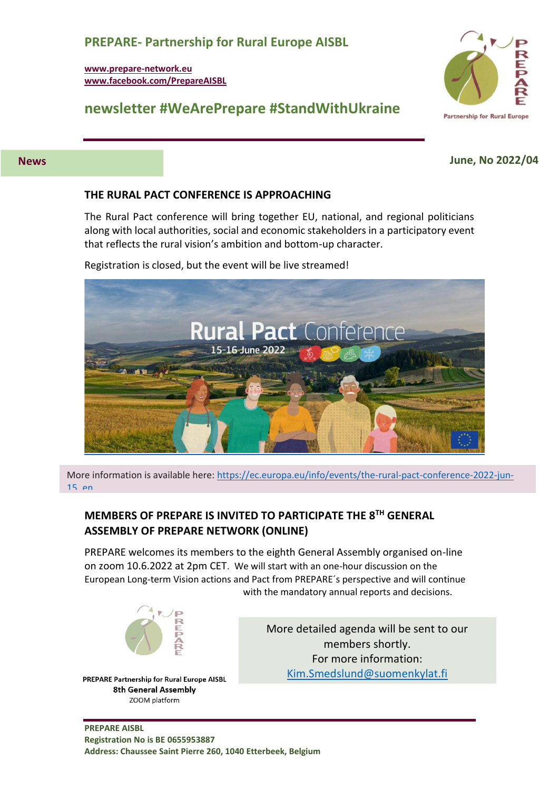#### **PREPARE- Partnership for Rural Europe AISBL**

**[www.prepare-network.eu](http://www.preparenetwork.org/) [www.facebook.com/PrepareAISBL](http://www.facebook.com/PrepareAISBL)**

## **newsletter #WeArePrepare #StandWithUkraine**



#### **News June, No 2022/04**

#### **THE RURAL PACT CONFERENCE IS APPROACHING**

The Rural Pact conference will bring together EU, national, and regional politicians along with local authorities, social and economic stakeholders in a participatory event that reflects the rural vision's ambition and bottom-up character.

Registration is closed, but the event will be live streamed!



More information is available here: [https://ec.europa.eu/info/events/the-rural-pact-conference-2022-jun-](https://ec.europa.eu/info/events/the-rural-pact-conference-2022-jun-15_en)[15\\_en](https://ec.europa.eu/info/events/the-rural-pact-conference-2022-jun-15_en)

#### **MEMBERS OF PREPARE IS INVITED TO PARTICIPATE THE 8TH GENERAL ASSEMBLY OF PREPARE NETWORK (ONLINE)**

PREPARE welcomes its members to the eighth General Assembly organised on-line on zoom 10.6.2022 at 2pm CET. We will start with an one-hour discussion on the European Long-term Vision actions and Pact from PREPARE´s perspective and will continue with the mandatory annual reports and decisions.



PREPARE Partnership for Rural Europe AISBL 8th General Assembly ZOOM platform

More detailed agenda will be sent to our members shortly. For more information: [Kim.Smedslund@suomenkylat.fi](mailto:Kim.Smedslund@suomenkylat.fi)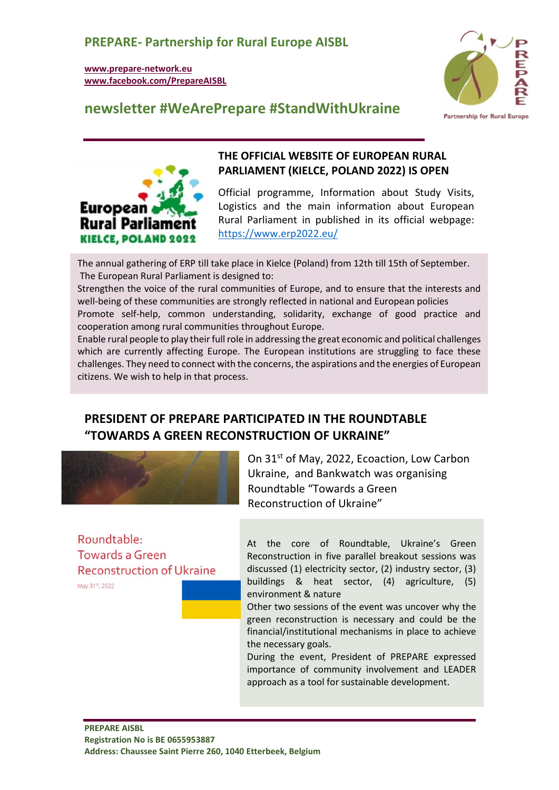## **PREPARE- Partnership for Rural Europe AISBL**

**[www.prepare-network.eu](http://www.preparenetwork.org/) [www.facebook.com/PrepareAISBL](http://www.facebook.com/PrepareAISBL)**



## **newsletter #WeArePrepare #StandWithUkraine**



#### **THE OFFICIAL WEBSITE OF EUROPEAN RURAL PARLIAMENT (KIELCE, POLAND 2022) IS OPEN**

Official programme, Information about Study Visits, Logistics and the main information about European Rural Parliament in published in its official webpage: <https://www.erp2022.eu/>

The annual gathering of ERP till take place in Kielce (Poland) from 12th till 15th of September. The European Rural Parliament is designed to:

Strengthen the voice of the rural communities of Europe, and to ensure that the interests and well-being of these communities are strongly reflected in national and European policies

Promote self-help, common understanding, solidarity, exchange of good practice and cooperation among rural communities throughout Europe.

Enable rural people to play their full role in addressing the great economic and political challenges which are currently affecting Europe. The European institutions are struggling to face these challenges. They need to connect with the concerns, the aspirations and the energies of European citizens. We wish to help in that process.

## **PRESIDENT OF PREPARE PARTICIPATED IN THE ROUNDTABLE "TOWARDS A GREEN RECONSTRUCTION OF UKRAINE"**



On 31<sup>st</sup> of May, 2022, Ecoaction, Low Carbon Ukraine, and Bankwatch was organising Roundtable "Towards a Green Reconstruction of Ukraine"

Roundtable: Towards a Green **Reconstruction of Ukraine** 

May 31st, 2022

At the core of Roundtable, Ukraine's Green Reconstruction in five parallel breakout sessions was discussed (1) electricity sector, (2) industry sector, (3) buildings & heat sector, (4) agriculture, (5) environment & nature

Other two sessions of the event was uncover why the green reconstruction is necessary and could be the financial/institutional mechanisms in place to achieve the necessary goals.

During the event, President of PREPARE expressed importance of community involvement and LEADER approach as a tool for sustainable development.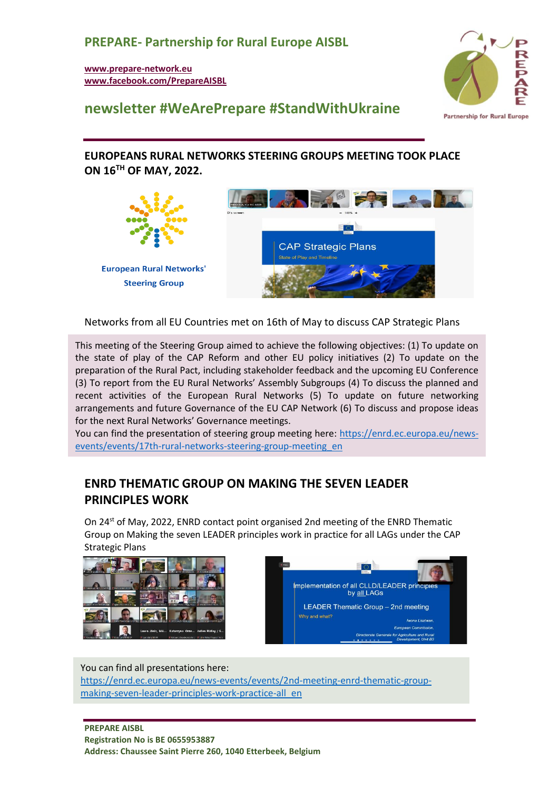**[www.prepare-network.eu](http://www.preparenetwork.org/) [www.facebook.com/PrepareAISBL](http://www.facebook.com/PrepareAISBL)**



## **newsletter #WeArePrepare #StandWithUkraine**

#### **EUROPEANS RURAL NETWORKS STEERING GROUPS MEETING TOOK PLACE ON 16TH OF MAY, 2022.**



#### Networks from all EU Countries met on 16th of May to discuss CAP Strategic Plans

This meeting of the Steering Group aimed to achieve the following objectives: (1) To update on the state of play of the CAP Reform and other EU policy initiatives (2) To update on the preparation of the Rural Pact, including stakeholder feedback and the upcoming EU Conference (3) To report from the EU Rural Networks' Assembly Subgroups (4) To discuss the planned and recent activities of the European Rural Networks (5) To update on future networking arrangements and future Governance of the EU CAP Network (6) To discuss and propose ideas for the next Rural Networks' Governance meetings.

You can find the presentation of steering group meeting here: [https://enrd.ec.europa.eu/news](https://enrd.ec.europa.eu/news-events/events/17th-rural-networks-steering-group-meeting_en)[events/events/17th-rural-networks-steering-group-meeting\\_en](https://enrd.ec.europa.eu/news-events/events/17th-rural-networks-steering-group-meeting_en)

## **ENRD THEMATIC GROUP ON MAKING THE SEVEN LEADER PRINCIPLES WORK**

On 24st of May, 2022, ENRD contact point organised 2nd meeting of the ENRD Thematic Group on Making the seven LEADER principles work in practice for all LAGs under the CAP Strategic Plans





You can find all presentations here: [https://enrd.ec.europa.eu/news-events/events/2nd-meeting-enrd-thematic-group](https://enrd.ec.europa.eu/news-events/events/2nd-meeting-enrd-thematic-group-making-seven-leader-principles-work-practice-all_en)[making-seven-leader-principles-work-practice-all\\_en](https://enrd.ec.europa.eu/news-events/events/2nd-meeting-enrd-thematic-group-making-seven-leader-principles-work-practice-all_en)